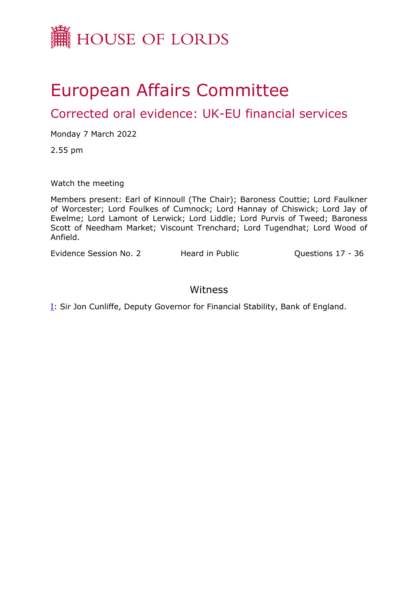

# European Affairs Committee

Corrected oral evidence: UK-EU financial services

Monday 7 March 2022

2.55 pm

Watch the meeting

Members present: Earl of Kinnoull (The Chair); Baroness Couttie; Lord Faulkner of Worcester; Lord Foulkes of Cumnock; Lord Hannay of Chiswick; Lord Jay of Ewelme; Lord Lamont of Lerwick; Lord Liddle; Lord Purvis of Tweed; Baroness Scott of Needham Market; Viscount Trenchard; Lord Tugendhat; Lord Wood of Anfield.

Evidence Session No. 2 Heard in Public **Questions 17 - 36** 

### Witness

**[I:](#page-1-0)** Sir Jon Cunliffe, Deputy Governor for Financial Stability, Bank of England.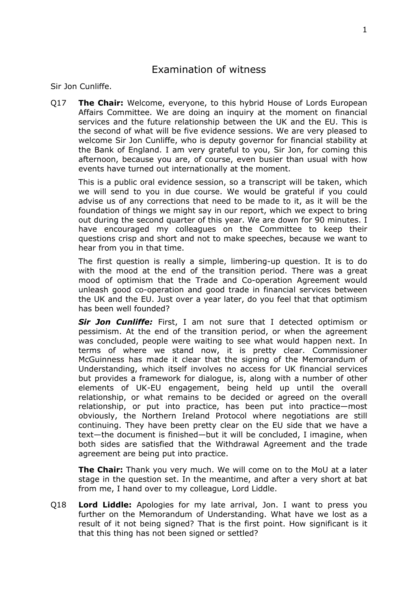## <span id="page-1-0"></span>Examination of witness

Sir Jon Cunliffe.

Q17 **The Chair:** Welcome, everyone, to this hybrid House of Lords European Affairs Committee. We are doing an inquiry at the moment on financial services and the future relationship between the UK and the EU. This is the second of what will be five evidence sessions. We are very pleased to welcome Sir Jon Cunliffe, who is deputy governor for financial stability at the Bank of England. I am very grateful to you, Sir Jon, for coming this afternoon, because you are, of course, even busier than usual with how events have turned out internationally at the moment.

This is a public oral evidence session, so a transcript will be taken, which we will send to you in due course. We would be grateful if you could advise us of any corrections that need to be made to it, as it will be the foundation of things we might say in our report, which we expect to bring out during the second quarter of this year. We are down for 90 minutes. I have encouraged my colleagues on the Committee to keep their questions crisp and short and not to make speeches, because we want to hear from you in that time.

The first question is really a simple, limbering-up question. It is to do with the mood at the end of the transition period. There was a great mood of optimism that the Trade and Co-operation Agreement would unleash good co-operation and good trade in financial services between the UK and the EU. Just over a year later, do you feel that that optimism has been well founded?

*Sir Jon Cunliffe:* First, I am not sure that I detected optimism or pessimism. At the end of the transition period, or when the agreement was concluded, people were waiting to see what would happen next. In terms of where we stand now, it is pretty clear. Commissioner McGuinness has made it clear that the signing of the Memorandum of Understanding, which itself involves no access for UK financial services but provides a framework for dialogue, is, along with a number of other elements of UK-EU engagement, being held up until the overall relationship, or what remains to be decided or agreed on the overall relationship, or put into practice, has been put into practice—most obviously, the Northern Ireland Protocol where negotiations are still continuing. They have been pretty clear on the EU side that we have a text—the document is finished—but it will be concluded, I imagine, when both sides are satisfied that the Withdrawal Agreement and the trade agreement are being put into practice.

**The Chair:** Thank you very much. We will come on to the MoU at a later stage in the question set. In the meantime, and after a very short at bat from me, I hand over to my colleague, Lord Liddle.

Q18 **Lord Liddle:** Apologies for my late arrival, Jon. I want to press you further on the Memorandum of Understanding. What have we lost as a result of it not being signed? That is the first point. How significant is it that this thing has not been signed or settled?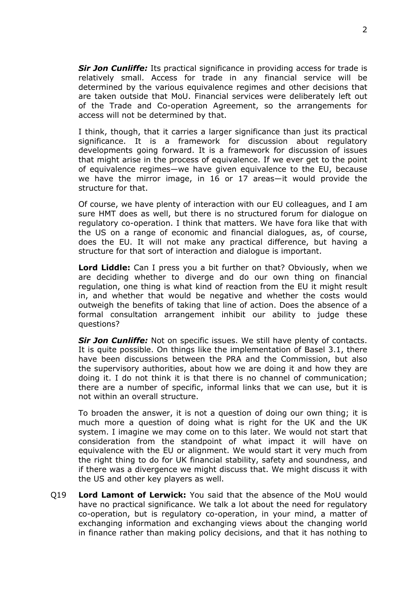*Sir Jon Cunliffe:* Its practical significance in providing access for trade is relatively small. Access for trade in any financial service will be determined by the various equivalence regimes and other decisions that are taken outside that MoU. Financial services were deliberately left out of the Trade and Co-operation Agreement, so the arrangements for access will not be determined by that.

I think, though, that it carries a larger significance than just its practical significance. It is a framework for discussion about regulatory developments going forward. It is a framework for discussion of issues that might arise in the process of equivalence. If we ever get to the point of equivalence regimes—we have given equivalence to the EU, because we have the mirror image, in 16 or 17 areas—it would provide the structure for that.

Of course, we have plenty of interaction with our EU colleagues, and I am sure HMT does as well, but there is no structured forum for dialogue on regulatory co-operation. I think that matters. We have fora like that with the US on a range of economic and financial dialogues, as, of course, does the EU. It will not make any practical difference, but having a structure for that sort of interaction and dialogue is important.

**Lord Liddle:** Can I press you a bit further on that? Obviously, when we are deciding whether to diverge and do our own thing on financial regulation, one thing is what kind of reaction from the EU it might result in, and whether that would be negative and whether the costs would outweigh the benefits of taking that line of action. Does the absence of a formal consultation arrangement inhibit our ability to judge these questions?

*Sir Jon Cunliffe:* Not on specific issues. We still have plenty of contacts. It is quite possible. On things like the implementation of Basel 3.1, there have been discussions between the PRA and the Commission, but also the supervisory authorities, about how we are doing it and how they are doing it. I do not think it is that there is no channel of communication; there are a number of specific, informal links that we can use, but it is not within an overall structure.

To broaden the answer, it is not a question of doing our own thing; it is much more a question of doing what is right for the UK and the UK system. I imagine we may come on to this later. We would not start that consideration from the standpoint of what impact it will have on equivalence with the EU or alignment. We would start it very much from the right thing to do for UK financial stability, safety and soundness, and if there was a divergence we might discuss that. We might discuss it with the US and other key players as well.

Q19 **Lord Lamont of Lerwick:** You said that the absence of the MoU would have no practical significance. We talk a lot about the need for regulatory co-operation, but is regulatory co-operation, in your mind, a matter of exchanging information and exchanging views about the changing world in finance rather than making policy decisions, and that it has nothing to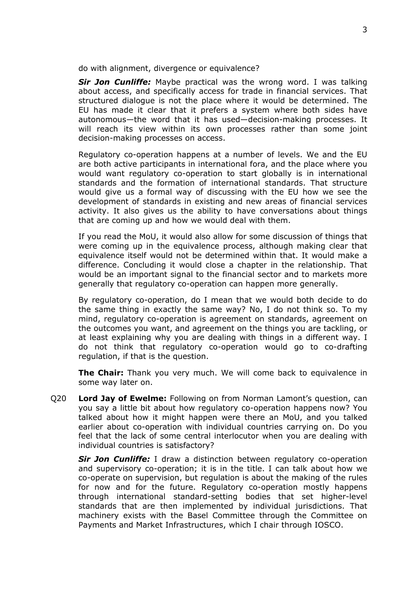do with alignment, divergence or equivalence?

*Sir Jon Cunliffe:* Maybe practical was the wrong word. I was talking about access, and specifically access for trade in financial services. That structured dialogue is not the place where it would be determined. The EU has made it clear that it prefers a system where both sides have autonomous—the word that it has used—decision-making processes. It will reach its view within its own processes rather than some joint decision-making processes on access.

Regulatory co-operation happens at a number of levels. We and the EU are both active participants in international fora, and the place where you would want regulatory co-operation to start globally is in international standards and the formation of international standards. That structure would give us a formal way of discussing with the EU how we see the development of standards in existing and new areas of financial services activity. It also gives us the ability to have conversations about things that are coming up and how we would deal with them.

If you read the MoU, it would also allow for some discussion of things that were coming up in the equivalence process, although making clear that equivalence itself would not be determined within that. It would make a difference. Concluding it would close a chapter in the relationship. That would be an important signal to the financial sector and to markets more generally that regulatory co-operation can happen more generally.

By regulatory co-operation, do I mean that we would both decide to do the same thing in exactly the same way? No, I do not think so. To my mind, regulatory co-operation is agreement on standards, agreement on the outcomes you want, and agreement on the things you are tackling, or at least explaining why you are dealing with things in a different way. I do not think that regulatory co-operation would go to co-drafting regulation, if that is the question.

**The Chair:** Thank you very much. We will come back to equivalence in some way later on.

Q20 **Lord Jay of Ewelme:** Following on from Norman Lamont's question, can you say a little bit about how regulatory co-operation happens now? You talked about how it might happen were there an MoU, and you talked earlier about co-operation with individual countries carrying on. Do you feel that the lack of some central interlocutor when you are dealing with individual countries is satisfactory?

*Sir Jon Cunliffe:* I draw a distinction between regulatory co-operation and supervisory co-operation; it is in the title. I can talk about how we co-operate on supervision, but regulation is about the making of the rules for now and for the future. Regulatory co-operation mostly happens through international standard-setting bodies that set higher-level standards that are then implemented by individual jurisdictions. That machinery exists with the Basel Committee through the Committee on Payments and Market Infrastructures, which I chair through IOSCO.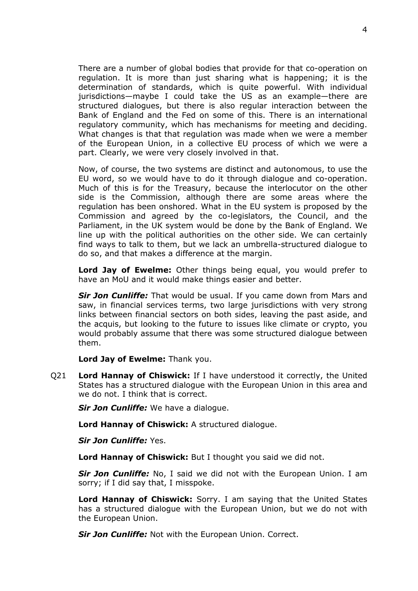There are a number of global bodies that provide for that co-operation on regulation. It is more than just sharing what is happening; it is the determination of standards, which is quite powerful. With individual jurisdictions—maybe I could take the US as an example—there are structured dialogues, but there is also regular interaction between the Bank of England and the Fed on some of this. There is an international regulatory community, which has mechanisms for meeting and deciding. What changes is that that regulation was made when we were a member of the European Union, in a collective EU process of which we were a part. Clearly, we were very closely involved in that.

Now, of course, the two systems are distinct and autonomous, to use the EU word, so we would have to do it through dialogue and co-operation. Much of this is for the Treasury, because the interlocutor on the other side is the Commission, although there are some areas where the regulation has been onshored. What in the EU system is proposed by the Commission and agreed by the co-legislators, the Council, and the Parliament, in the UK system would be done by the Bank of England. We line up with the political authorities on the other side. We can certainly find ways to talk to them, but we lack an umbrella-structured dialogue to do so, and that makes a difference at the margin.

**Lord Jay of Ewelme:** Other things being equal, you would prefer to have an MoU and it would make things easier and better.

*Sir Jon Cunliffe:* That would be usual. If you came down from Mars and saw, in financial services terms, two large jurisdictions with very strong links between financial sectors on both sides, leaving the past aside, and the acquis, but looking to the future to issues like climate or crypto, you would probably assume that there was some structured dialogue between them.

**Lord Jay of Ewelme:** Thank you.

Q21 **Lord Hannay of Chiswick:** If I have understood it correctly, the United States has a structured dialogue with the European Union in this area and we do not. I think that is correct.

*Sir Jon Cunliffe:* We have a dialogue.

**Lord Hannay of Chiswick:** A structured dialogue.

*Sir Jon Cunliffe:* Yes.

**Lord Hannay of Chiswick:** But I thought you said we did not.

*Sir Jon Cunliffe:* No, I said we did not with the European Union. I am sorry; if I did say that, I misspoke.

**Lord Hannay of Chiswick:** Sorry. I am saying that the United States has a structured dialogue with the European Union, but we do not with the European Union.

*Sir Jon Cunliffe:* Not with the European Union. Correct.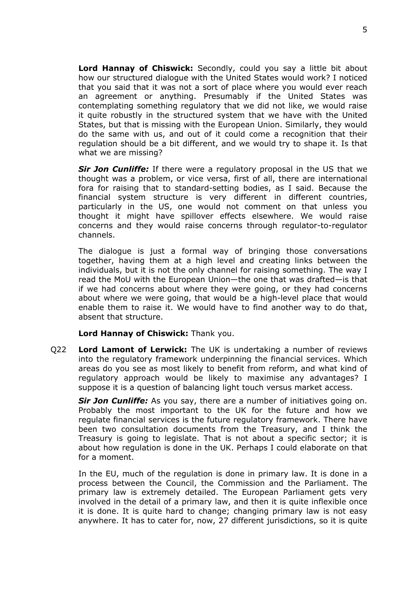**Lord Hannay of Chiswick:** Secondly, could you say a little bit about how our structured dialogue with the United States would work? I noticed that you said that it was not a sort of place where you would ever reach an agreement or anything. Presumably if the United States was contemplating something regulatory that we did not like, we would raise it quite robustly in the structured system that we have with the United States, but that is missing with the European Union. Similarly, they would do the same with us, and out of it could come a recognition that their regulation should be a bit different, and we would try to shape it. Is that what we are missing?

*Sir Jon Cunliffe:* If there were a regulatory proposal in the US that we thought was a problem, or vice versa, first of all, there are international fora for raising that to standard-setting bodies, as I said. Because the financial system structure is very different in different countries, particularly in the US, one would not comment on that unless you thought it might have spillover effects elsewhere. We would raise concerns and they would raise concerns through regulator-to-regulator channels.

The dialogue is just a formal way of bringing those conversations together, having them at a high level and creating links between the individuals, but it is not the only channel for raising something. The way I read the MoU with the European Union—the one that was drafted—is that if we had concerns about where they were going, or they had concerns about where we were going, that would be a high-level place that would enable them to raise it. We would have to find another way to do that, absent that structure.

**Lord Hannay of Chiswick:** Thank you.

Q22 **Lord Lamont of Lerwick:** The UK is undertaking a number of reviews into the regulatory framework underpinning the financial services. Which areas do you see as most likely to benefit from reform, and what kind of regulatory approach would be likely to maximise any advantages? I suppose it is a question of balancing light touch versus market access.

*Sir Jon Cunliffe:* As you say, there are a number of initiatives going on. Probably the most important to the UK for the future and how we regulate financial services is the future regulatory framework. There have been two consultation documents from the Treasury, and I think the Treasury is going to legislate. That is not about a specific sector; it is about how regulation is done in the UK. Perhaps I could elaborate on that for a moment.

In the EU, much of the regulation is done in primary law. It is done in a process between the Council, the Commission and the Parliament. The primary law is extremely detailed. The European Parliament gets very involved in the detail of a primary law, and then it is quite inflexible once it is done. It is quite hard to change; changing primary law is not easy anywhere. It has to cater for, now, 27 different jurisdictions, so it is quite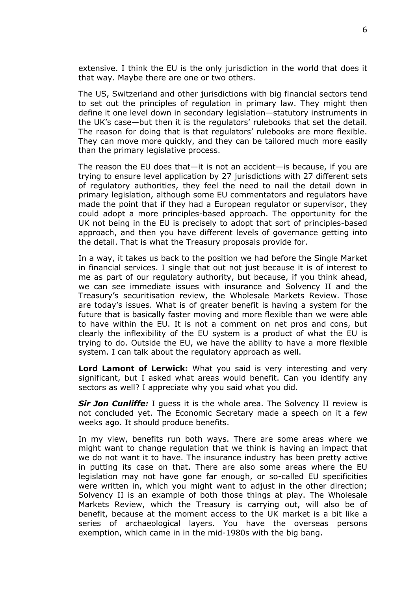extensive. I think the EU is the only jurisdiction in the world that does it that way. Maybe there are one or two others.

The US, Switzerland and other jurisdictions with big financial sectors tend to set out the principles of regulation in primary law. They might then define it one level down in secondary legislation—statutory instruments in the UK's case—but then it is the regulators' rulebooks that set the detail. The reason for doing that is that regulators' rulebooks are more flexible. They can move more quickly, and they can be tailored much more easily than the primary legislative process.

The reason the EU does that—it is not an accident—is because, if you are trying to ensure level application by 27 jurisdictions with 27 different sets of regulatory authorities, they feel the need to nail the detail down in primary legislation, although some EU commentators and regulators have made the point that if they had a European regulator or supervisor, they could adopt a more principles-based approach. The opportunity for the UK not being in the EU is precisely to adopt that sort of principles-based approach, and then you have different levels of governance getting into the detail. That is what the Treasury proposals provide for.

In a way, it takes us back to the position we had before the Single Market in financial services. I single that out not just because it is of interest to me as part of our regulatory authority, but because, if you think ahead, we can see immediate issues with insurance and Solvency II and the Treasury's securitisation review, the Wholesale Markets Review. Those are today's issues. What is of greater benefit is having a system for the future that is basically faster moving and more flexible than we were able to have within the EU. It is not a comment on net pros and cons, but clearly the inflexibility of the EU system is a product of what the EU is trying to do. Outside the EU, we have the ability to have a more flexible system. I can talk about the regulatory approach as well.

**Lord Lamont of Lerwick:** What you said is very interesting and very significant, but I asked what areas would benefit. Can you identify any sectors as well? I appreciate why you said what you did.

*Sir Jon Cunliffe:* I guess it is the whole area. The Solvency II review is not concluded yet. The Economic Secretary made a speech on it a few weeks ago. It should produce benefits.

In my view, benefits run both ways. There are some areas where we might want to change regulation that we think is having an impact that we do not want it to have. The insurance industry has been pretty active in putting its case on that. There are also some areas where the EU legislation may not have gone far enough, or so-called EU specificities were written in, which you might want to adjust in the other direction; Solvency II is an example of both those things at play. The Wholesale Markets Review, which the Treasury is carrying out, will also be of benefit, because at the moment access to the UK market is a bit like a series of archaeological layers. You have the overseas persons exemption, which came in in the mid-1980s with the big bang.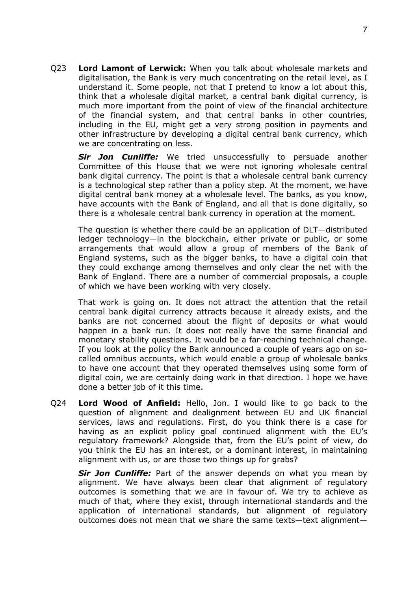Q23 **Lord Lamont of Lerwick:** When you talk about wholesale markets and digitalisation, the Bank is very much concentrating on the retail level, as I understand it. Some people, not that I pretend to know a lot about this, think that a wholesale digital market, a central bank digital currency, is much more important from the point of view of the financial architecture of the financial system, and that central banks in other countries, including in the EU, might get a very strong position in payments and other infrastructure by developing a digital central bank currency, which we are concentrating on less.

*Sir Jon Cunliffe:* We tried unsuccessfully to persuade another Committee of this House that we were not ignoring wholesale central bank digital currency. The point is that a wholesale central bank currency is a technological step rather than a policy step. At the moment, we have digital central bank money at a wholesale level. The banks, as you know, have accounts with the Bank of England, and all that is done digitally, so there is a wholesale central bank currency in operation at the moment.

The question is whether there could be an application of DLT—distributed ledger technology—in the blockchain, either private or public, or some arrangements that would allow a group of members of the Bank of England systems, such as the bigger banks, to have a digital coin that they could exchange among themselves and only clear the net with the Bank of England. There are a number of commercial proposals, a couple of which we have been working with very closely.

That work is going on. It does not attract the attention that the retail central bank digital currency attracts because it already exists, and the banks are not concerned about the flight of deposits or what would happen in a bank run. It does not really have the same financial and monetary stability questions. It would be a far-reaching technical change. If you look at the policy the Bank announced a couple of years ago on socalled omnibus accounts, which would enable a group of wholesale banks to have one account that they operated themselves using some form of digital coin, we are certainly doing work in that direction. I hope we have done a better job of it this time.

Q24 **Lord Wood of Anfield:** Hello, Jon. I would like to go back to the question of alignment and dealignment between EU and UK financial services, laws and regulations. First, do you think there is a case for having as an explicit policy goal continued alignment with the EU's regulatory framework? Alongside that, from the EU's point of view, do you think the EU has an interest, or a dominant interest, in maintaining alignment with us, or are those two things up for grabs?

*Sir Jon Cunliffe:* Part of the answer depends on what you mean by alignment. We have always been clear that alignment of regulatory outcomes is something that we are in favour of. We try to achieve as much of that, where they exist, through international standards and the application of international standards, but alignment of regulatory outcomes does not mean that we share the same texts—text alignment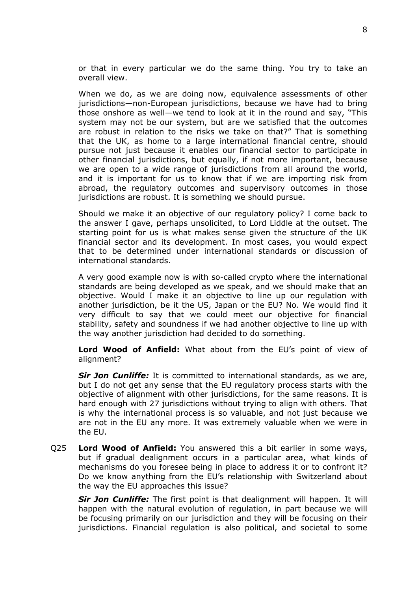or that in every particular we do the same thing. You try to take an overall view.

When we do, as we are doing now, equivalence assessments of other jurisdictions—non-European jurisdictions, because we have had to bring those onshore as well—we tend to look at it in the round and say, "This system may not be our system, but are we satisfied that the outcomes are robust in relation to the risks we take on that?" That is something that the UK, as home to a large international financial centre, should pursue not just because it enables our financial sector to participate in other financial jurisdictions, but equally, if not more important, because we are open to a wide range of jurisdictions from all around the world, and it is important for us to know that if we are importing risk from abroad, the regulatory outcomes and supervisory outcomes in those jurisdictions are robust. It is something we should pursue.

Should we make it an objective of our regulatory policy? I come back to the answer I gave, perhaps unsolicited, to Lord Liddle at the outset. The starting point for us is what makes sense given the structure of the UK financial sector and its development. In most cases, you would expect that to be determined under international standards or discussion of international standards.

A very good example now is with so-called crypto where the international standards are being developed as we speak, and we should make that an objective. Would I make it an objective to line up our regulation with another jurisdiction, be it the US, Japan or the EU? No. We would find it very difficult to say that we could meet our objective for financial stability, safety and soundness if we had another objective to line up with the way another jurisdiction had decided to do something.

**Lord Wood of Anfield:** What about from the EU's point of view of alignment?

*Sir Jon Cunliffe:* It is committed to international standards, as we are, but I do not get any sense that the EU regulatory process starts with the objective of alignment with other jurisdictions, for the same reasons. It is hard enough with 27 jurisdictions without trying to align with others. That is why the international process is so valuable, and not just because we are not in the EU any more. It was extremely valuable when we were in the EU.

Q25 **Lord Wood of Anfield:** You answered this a bit earlier in some ways, but if gradual dealignment occurs in a particular area, what kinds of mechanisms do you foresee being in place to address it or to confront it? Do we know anything from the EU's relationship with Switzerland about the way the EU approaches this issue?

*Sir Jon Cunliffe:* The first point is that dealignment will happen. It will happen with the natural evolution of regulation, in part because we will be focusing primarily on our jurisdiction and they will be focusing on their jurisdictions. Financial regulation is also political, and societal to some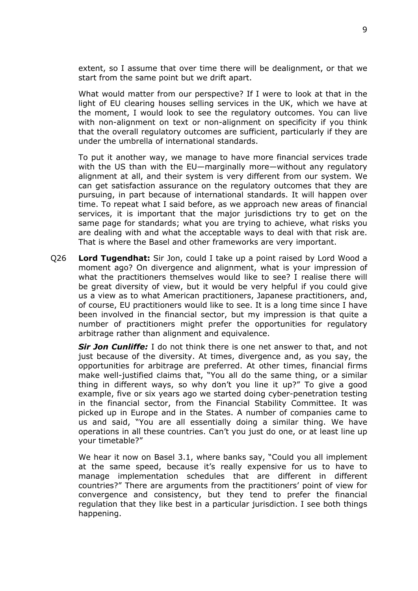extent, so I assume that over time there will be dealignment, or that we start from the same point but we drift apart.

What would matter from our perspective? If I were to look at that in the light of EU clearing houses selling services in the UK, which we have at the moment, I would look to see the regulatory outcomes. You can live with non-alignment on text or non-alignment on specificity if you think that the overall regulatory outcomes are sufficient, particularly if they are under the umbrella of international standards.

To put it another way, we manage to have more financial services trade with the US than with the EU—marginally more—without any regulatory alignment at all, and their system is very different from our system. We can get satisfaction assurance on the regulatory outcomes that they are pursuing, in part because of international standards. It will happen over time. To repeat what I said before, as we approach new areas of financial services, it is important that the major jurisdictions try to get on the same page for standards; what you are trying to achieve, what risks you are dealing with and what the acceptable ways to deal with that risk are. That is where the Basel and other frameworks are very important.

Q26 **Lord Tugendhat:** Sir Jon, could I take up a point raised by Lord Wood a moment ago? On divergence and alignment, what is your impression of what the practitioners themselves would like to see? I realise there will be great diversity of view, but it would be very helpful if you could give us a view as to what American practitioners, Japanese practitioners, and, of course, EU practitioners would like to see. It is a long time since I have been involved in the financial sector, but my impression is that quite a number of practitioners might prefer the opportunities for regulatory arbitrage rather than alignment and equivalence.

*Sir Jon Cunliffe:* I do not think there is one net answer to that, and not just because of the diversity. At times, divergence and, as you say, the opportunities for arbitrage are preferred. At other times, financial firms make well-justified claims that, "You all do the same thing, or a similar thing in different ways, so why don't you line it up?" To give a good example, five or six years ago we started doing cyber-penetration testing in the financial sector, from the Financial Stability Committee. It was picked up in Europe and in the States. A number of companies came to us and said, "You are all essentially doing a similar thing. We have operations in all these countries. Can't you just do one, or at least line up your timetable?"

We hear it now on Basel 3.1, where banks say, "Could you all implement at the same speed, because it's really expensive for us to have to manage implementation schedules that are different in different countries?" There are arguments from the practitioners' point of view for convergence and consistency, but they tend to prefer the financial regulation that they like best in a particular jurisdiction. I see both things happening.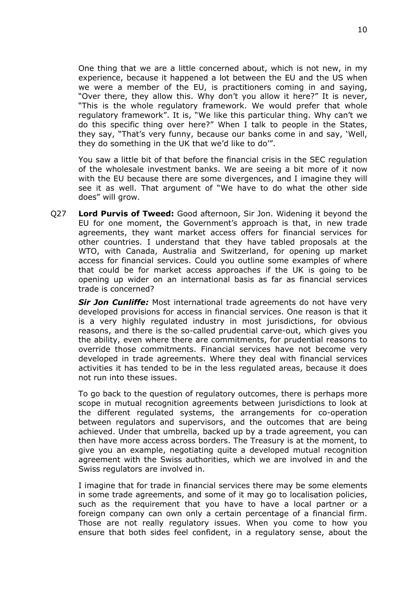One thing that we are a little concerned about, which is not new, in my experience, because it happened a lot between the EU and the US when we were a member of the EU, is practitioners coming in and saying, "Over there, they allow this. Why don't you allow it here?" It is never, "This is the whole regulatory framework. We would prefer that whole regulatory framework". It is, "We like this particular thing. Why can't we do this specific thing over here?" When I talk to people in the States, they say, "That's very funny, because our banks come in and say, 'Well, they do something in the UK that we'd like to do'".

You saw a little bit of that before the financial crisis in the SEC regulation of the wholesale investment banks. We are seeing a bit more of it now with the EU because there are some divergences, and I imagine they will see it as well. That argument of "We have to do what the other side does" will grow.

Q27 **Lord Purvis of Tweed:** Good afternoon, Sir Jon. Widening it beyond the EU for one moment, the Government's approach is that, in new trade agreements, they want market access offers for financial services for other countries. I understand that they have tabled proposals at the WTO, with Canada, Australia and Switzerland, for opening up market access for financial services. Could you outline some examples of where that could be for market access approaches if the UK is going to be opening up wider on an international basis as far as financial services trade is concerned?

*Sir Jon Cunliffe:* Most international trade agreements do not have very developed provisions for access in financial services. One reason is that it is a very highly regulated industry in most jurisdictions, for obvious reasons, and there is the so-called prudential carve-out, which gives you the ability, even where there are commitments, for prudential reasons to override those commitments. Financial services have not become very developed in trade agreements. Where they deal with financial services activities it has tended to be in the less regulated areas, because it does not run into these issues.

To go back to the question of regulatory outcomes, there is perhaps more scope in mutual recognition agreements between jurisdictions to look at the different regulated systems, the arrangements for co-operation between regulators and supervisors, and the outcomes that are being achieved. Under that umbrella, backed up by a trade agreement, you can then have more access across borders. The Treasury is at the moment, to give you an example, negotiating quite a developed mutual recognition agreement with the Swiss authorities, which we are involved in and the Swiss regulators are involved in.

I imagine that for trade in financial services there may be some elements in some trade agreements, and some of it may go to localisation policies, such as the requirement that you have to have a local partner or a foreign company can own only a certain percentage of a financial firm. Those are not really regulatory issues. When you come to how you ensure that both sides feel confident, in a regulatory sense, about the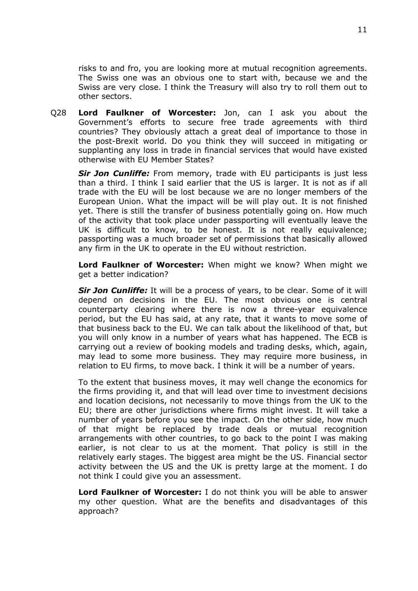risks to and fro, you are looking more at mutual recognition agreements. The Swiss one was an obvious one to start with, because we and the Swiss are very close. I think the Treasury will also try to roll them out to other sectors.

Q28 **Lord Faulkner of Worcester:** Jon, can I ask you about the Government's efforts to secure free trade agreements with third countries? They obviously attach a great deal of importance to those in the post-Brexit world. Do you think they will succeed in mitigating or supplanting any loss in trade in financial services that would have existed otherwise with EU Member States?

*Sir Jon Cunliffe:* From memory, trade with EU participants is just less than a third. I think I said earlier that the US is larger. It is not as if all trade with the EU will be lost because we are no longer members of the European Union. What the impact will be will play out. It is not finished yet. There is still the transfer of business potentially going on. How much of the activity that took place under passporting will eventually leave the UK is difficult to know, to be honest. It is not really equivalence; passporting was a much broader set of permissions that basically allowed any firm in the UK to operate in the EU without restriction.

**Lord Faulkner of Worcester:** When might we know? When might we get a better indication?

*Sir Jon Cunliffe:* It will be a process of years, to be clear. Some of it will depend on decisions in the EU. The most obvious one is central counterparty clearing where there is now a three-year equivalence period, but the EU has said, at any rate, that it wants to move some of that business back to the EU. We can talk about the likelihood of that, but you will only know in a number of years what has happened. The ECB is carrying out a review of booking models and trading desks, which, again, may lead to some more business. They may require more business, in relation to EU firms, to move back. I think it will be a number of years.

To the extent that business moves, it may well change the economics for the firms providing it, and that will lead over time to investment decisions and location decisions, not necessarily to move things from the UK to the EU; there are other jurisdictions where firms might invest. It will take a number of years before you see the impact. On the other side, how much of that might be replaced by trade deals or mutual recognition arrangements with other countries, to go back to the point I was making earlier, is not clear to us at the moment. That policy is still in the relatively early stages. The biggest area might be the US. Financial sector activity between the US and the UK is pretty large at the moment. I do not think I could give you an assessment.

**Lord Faulkner of Worcester:** I do not think you will be able to answer my other question. What are the benefits and disadvantages of this approach?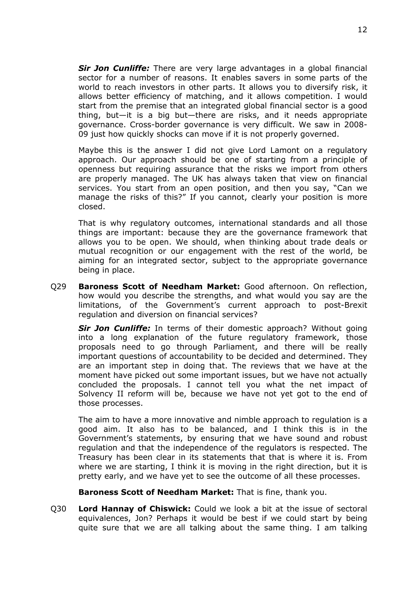*Sir Jon Cunliffe:* There are very large advantages in a global financial sector for a number of reasons. It enables savers in some parts of the world to reach investors in other parts. It allows you to diversify risk, it allows better efficiency of matching, and it allows competition. I would start from the premise that an integrated global financial sector is a good thing, but—it is a big but—there are risks, and it needs appropriate governance. Cross-border governance is very difficult. We saw in 2008- 09 just how quickly shocks can move if it is not properly governed.

Maybe this is the answer I did not give Lord Lamont on a regulatory approach. Our approach should be one of starting from a principle of openness but requiring assurance that the risks we import from others are properly managed. The UK has always taken that view on financial services. You start from an open position, and then you say, "Can we manage the risks of this?" If you cannot, clearly your position is more closed.

That is why regulatory outcomes, international standards and all those things are important: because they are the governance framework that allows you to be open. We should, when thinking about trade deals or mutual recognition or our engagement with the rest of the world, be aiming for an integrated sector, subject to the appropriate governance being in place.

Q29 **Baroness Scott of Needham Market:** Good afternoon. On reflection, how would you describe the strengths, and what would you say are the limitations, of the Government's current approach to post-Brexit regulation and diversion on financial services?

*Sir Jon Cunliffe:* In terms of their domestic approach? Without going into a long explanation of the future regulatory framework, those proposals need to go through Parliament, and there will be really important questions of accountability to be decided and determined. They are an important step in doing that. The reviews that we have at the moment have picked out some important issues, but we have not actually concluded the proposals. I cannot tell you what the net impact of Solvency II reform will be, because we have not yet got to the end of those processes.

The aim to have a more innovative and nimble approach to regulation is a good aim. It also has to be balanced, and I think this is in the Government's statements, by ensuring that we have sound and robust regulation and that the independence of the regulators is respected. The Treasury has been clear in its statements that that is where it is. From where we are starting, I think it is moving in the right direction, but it is pretty early, and we have yet to see the outcome of all these processes.

#### **Baroness Scott of Needham Market:** That is fine, thank you.

Q30 **Lord Hannay of Chiswick:** Could we look a bit at the issue of sectoral equivalences, Jon? Perhaps it would be best if we could start by being quite sure that we are all talking about the same thing. I am talking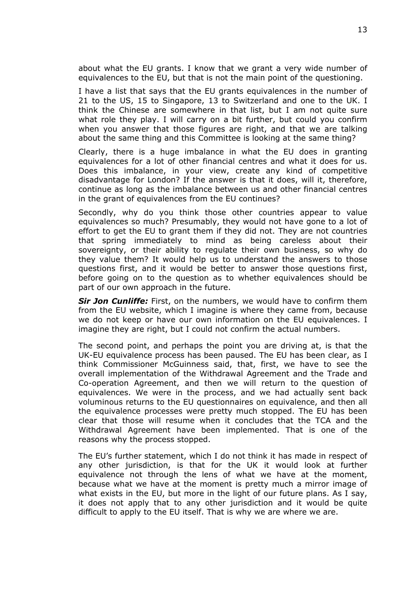about what the EU grants. I know that we grant a very wide number of equivalences to the EU, but that is not the main point of the questioning.

I have a list that says that the EU grants equivalences in the number of 21 to the US, 15 to Singapore, 13 to Switzerland and one to the UK. I think the Chinese are somewhere in that list, but I am not quite sure what role they play. I will carry on a bit further, but could you confirm when you answer that those figures are right, and that we are talking about the same thing and this Committee is looking at the same thing?

Clearly, there is a huge imbalance in what the EU does in granting equivalences for a lot of other financial centres and what it does for us. Does this imbalance, in your view, create any kind of competitive disadvantage for London? If the answer is that it does, will it, therefore, continue as long as the imbalance between us and other financial centres in the grant of equivalences from the EU continues?

Secondly, why do you think those other countries appear to value equivalences so much? Presumably, they would not have gone to a lot of effort to get the EU to grant them if they did not. They are not countries that spring immediately to mind as being careless about their sovereignty, or their ability to regulate their own business, so why do they value them? It would help us to understand the answers to those questions first, and it would be better to answer those questions first, before going on to the question as to whether equivalences should be part of our own approach in the future.

*Sir Jon Cunliffe:* First, on the numbers, we would have to confirm them from the EU website, which I imagine is where they came from, because we do not keep or have our own information on the EU equivalences. I imagine they are right, but I could not confirm the actual numbers.

The second point, and perhaps the point you are driving at, is that the UK-EU equivalence process has been paused. The EU has been clear, as I think Commissioner McGuinness said, that, first, we have to see the overall implementation of the Withdrawal Agreement and the Trade and Co-operation Agreement, and then we will return to the question of equivalences. We were in the process, and we had actually sent back voluminous returns to the EU questionnaires on equivalence, and then all the equivalence processes were pretty much stopped. The EU has been clear that those will resume when it concludes that the TCA and the Withdrawal Agreement have been implemented. That is one of the reasons why the process stopped.

The EU's further statement, which I do not think it has made in respect of any other jurisdiction, is that for the UK it would look at further equivalence not through the lens of what we have at the moment, because what we have at the moment is pretty much a mirror image of what exists in the EU, but more in the light of our future plans. As I say, it does not apply that to any other jurisdiction and it would be quite difficult to apply to the EU itself. That is why we are where we are.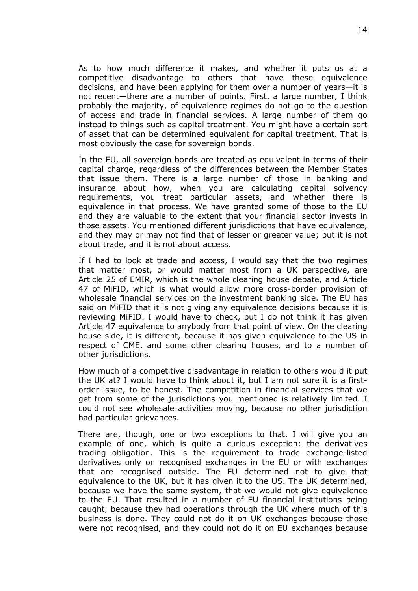As to how much difference it makes, and whether it puts us at a competitive disadvantage to others that have these equivalence decisions, and have been applying for them over a number of years—it is not recent—there are a number of points. First, a large number, I think probably the majority, of equivalence regimes do not go to the question of access and trade in financial services. A large number of them go instead to things such as capital treatment. You might have a certain sort of asset that can be determined equivalent for capital treatment. That is most obviously the case for sovereign bonds.

In the EU, all sovereign bonds are treated as equivalent in terms of their capital charge, regardless of the differences between the Member States that issue them. There is a large number of those in banking and insurance about how, when you are calculating capital solvency requirements, you treat particular assets, and whether there is equivalence in that process. We have granted some of those to the EU and they are valuable to the extent that your financial sector invests in those assets. You mentioned different jurisdictions that have equivalence, and they may or may not find that of lesser or greater value; but it is not about trade, and it is not about access.

If I had to look at trade and access, I would say that the two regimes that matter most, or would matter most from a UK perspective, are Article 25 of EMIR, which is the whole clearing house debate, and Article 47 of MiFID, which is what would allow more cross-border provision of wholesale financial services on the investment banking side. The EU has said on MiFID that it is not giving any equivalence decisions because it is reviewing MiFID. I would have to check, but I do not think it has given Article 47 equivalence to anybody from that point of view. On the clearing house side, it is different, because it has given equivalence to the US in respect of CME, and some other clearing houses, and to a number of other jurisdictions.

How much of a competitive disadvantage in relation to others would it put the UK at? I would have to think about it, but I am not sure it is a firstorder issue, to be honest. The competition in financial services that we get from some of the jurisdictions you mentioned is relatively limited. I could not see wholesale activities moving, because no other jurisdiction had particular grievances.

There are, though, one or two exceptions to that. I will give you an example of one, which is quite a curious exception: the derivatives trading obligation. This is the requirement to trade exchange-listed derivatives only on recognised exchanges in the EU or with exchanges that are recognised outside. The EU determined not to give that equivalence to the UK, but it has given it to the US. The UK determined, because we have the same system, that we would not give equivalence to the EU. That resulted in a number of EU financial institutions being caught, because they had operations through the UK where much of this business is done. They could not do it on UK exchanges because those were not recognised, and they could not do it on EU exchanges because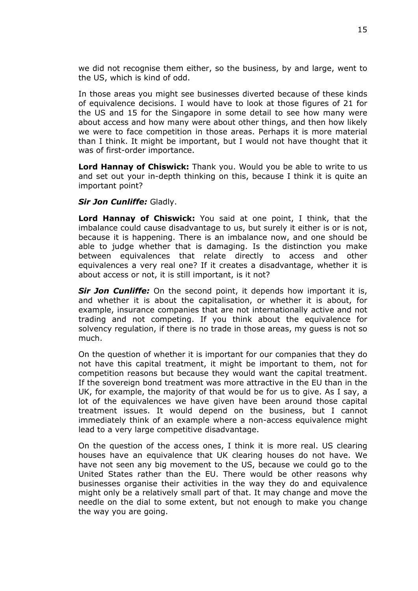we did not recognise them either, so the business, by and large, went to the US, which is kind of odd.

In those areas you might see businesses diverted because of these kinds of equivalence decisions. I would have to look at those figures of 21 for the US and 15 for the Singapore in some detail to see how many were about access and how many were about other things, and then how likely we were to face competition in those areas. Perhaps it is more material than I think. It might be important, but I would not have thought that it was of first-order importance.

**Lord Hannay of Chiswick:** Thank you. Would you be able to write to us and set out your in-depth thinking on this, because I think it is quite an important point?

#### *Sir Jon Cunliffe:* Gladly.

**Lord Hannay of Chiswick:** You said at one point, I think, that the imbalance could cause disadvantage to us, but surely it either is or is not, because it is happening. There is an imbalance now, and one should be able to judge whether that is damaging. Is the distinction you make between equivalences that relate directly to access and other equivalences a very real one? If it creates a disadvantage, whether it is about access or not, it is still important, is it not?

*Sir Jon Cunliffe:* On the second point, it depends how important it is, and whether it is about the capitalisation, or whether it is about, for example, insurance companies that are not internationally active and not trading and not competing. If you think about the equivalence for solvency regulation, if there is no trade in those areas, my guess is not so much.

On the question of whether it is important for our companies that they do not have this capital treatment, it might be important to them, not for competition reasons but because they would want the capital treatment. If the sovereign bond treatment was more attractive in the EU than in the UK, for example, the majority of that would be for us to give. As I say, a lot of the equivalences we have given have been around those capital treatment issues. It would depend on the business, but I cannot immediately think of an example where a non-access equivalence might lead to a very large competitive disadvantage.

On the question of the access ones, I think it is more real. US clearing houses have an equivalence that UK clearing houses do not have. We have not seen any big movement to the US, because we could go to the United States rather than the EU. There would be other reasons why businesses organise their activities in the way they do and equivalence might only be a relatively small part of that. It may change and move the needle on the dial to some extent, but not enough to make you change the way you are going.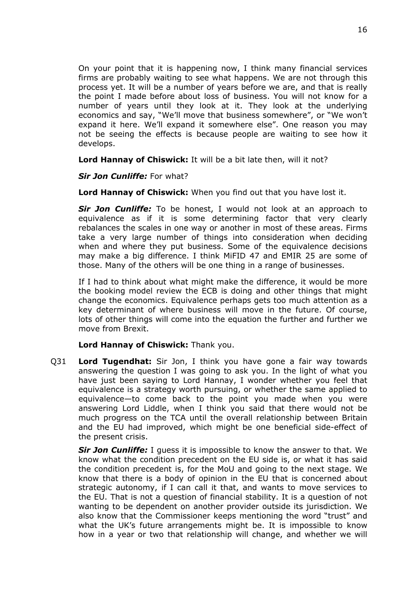On your point that it is happening now, I think many financial services firms are probably waiting to see what happens. We are not through this process yet. It will be a number of years before we are, and that is really the point I made before about loss of business. You will not know for a number of years until they look at it. They look at the underlying economics and say, "We'll move that business somewhere", or "We won't expand it here. We'll expand it somewhere else". One reason you may not be seeing the effects is because people are waiting to see how it develops.

**Lord Hannay of Chiswick:** It will be a bit late then, will it not?

*Sir Jon Cunliffe:* For what?

**Lord Hannay of Chiswick:** When you find out that you have lost it.

*Sir Jon Cunliffe:* To be honest, I would not look at an approach to equivalence as if it is some determining factor that very clearly rebalances the scales in one way or another in most of these areas. Firms take a very large number of things into consideration when deciding when and where they put business. Some of the equivalence decisions may make a big difference. I think MiFID 47 and EMIR 25 are some of those. Many of the others will be one thing in a range of businesses.

If I had to think about what might make the difference, it would be more the booking model review the ECB is doing and other things that might change the economics. Equivalence perhaps gets too much attention as a key determinant of where business will move in the future. Of course, lots of other things will come into the equation the further and further we move from Brexit.

#### **Lord Hannay of Chiswick:** Thank you.

Q31 **Lord Tugendhat:** Sir Jon, I think you have gone a fair way towards answering the question I was going to ask you. In the light of what you have just been saying to Lord Hannay, I wonder whether you feel that equivalence is a strategy worth pursuing, or whether the same applied to equivalence—to come back to the point you made when you were answering Lord Liddle, when I think you said that there would not be much progress on the TCA until the overall relationship between Britain and the EU had improved, which might be one beneficial side-effect of the present crisis.

*Sir Jon Cunliffe:* I guess it is impossible to know the answer to that. We know what the condition precedent on the EU side is, or what it has said the condition precedent is, for the MoU and going to the next stage. We know that there is a body of opinion in the EU that is concerned about strategic autonomy, if I can call it that, and wants to move services to the EU. That is not a question of financial stability. It is a question of not wanting to be dependent on another provider outside its jurisdiction. We also know that the Commissioner keeps mentioning the word "trust" and what the UK's future arrangements might be. It is impossible to know how in a year or two that relationship will change, and whether we will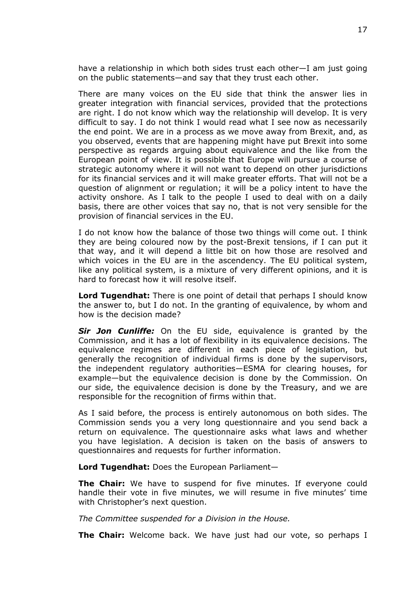have a relationship in which both sides trust each other—I am just going on the public statements—and say that they trust each other.

There are many voices on the EU side that think the answer lies in greater integration with financial services, provided that the protections are right. I do not know which way the relationship will develop. It is very difficult to say. I do not think I would read what I see now as necessarily the end point. We are in a process as we move away from Brexit, and, as you observed, events that are happening might have put Brexit into some perspective as regards arguing about equivalence and the like from the European point of view. It is possible that Europe will pursue a course of strategic autonomy where it will not want to depend on other jurisdictions for its financial services and it will make greater efforts. That will not be a question of alignment or regulation; it will be a policy intent to have the activity onshore. As I talk to the people I used to deal with on a daily basis, there are other voices that say no, that is not very sensible for the provision of financial services in the EU.

I do not know how the balance of those two things will come out. I think they are being coloured now by the post-Brexit tensions, if I can put it that way, and it will depend a little bit on how those are resolved and which voices in the EU are in the ascendency. The EU political system, like any political system, is a mixture of very different opinions, and it is hard to forecast how it will resolve itself.

**Lord Tugendhat:** There is one point of detail that perhaps I should know the answer to, but I do not. In the granting of equivalence, by whom and how is the decision made?

*Sir Jon Cunliffe:* On the EU side, equivalence is granted by the Commission, and it has a lot of flexibility in its equivalence decisions. The equivalence regimes are different in each piece of legislation, but generally the recognition of individual firms is done by the supervisors, the independent regulatory authorities—ESMA for clearing houses, for example—but the equivalence decision is done by the Commission. On our side, the equivalence decision is done by the Treasury, and we are responsible for the recognition of firms within that.

As I said before, the process is entirely autonomous on both sides. The Commission sends you a very long questionnaire and you send back a return on equivalence. The questionnaire asks what laws and whether you have legislation. A decision is taken on the basis of answers to questionnaires and requests for further information.

**Lord Tugendhat:** Does the European Parliament—

**The Chair:** We have to suspend for five minutes. If everyone could handle their vote in five minutes, we will resume in five minutes' time with Christopher's next question.

*The Committee suspended for a Division in the House.*

**The Chair:** Welcome back. We have just had our vote, so perhaps I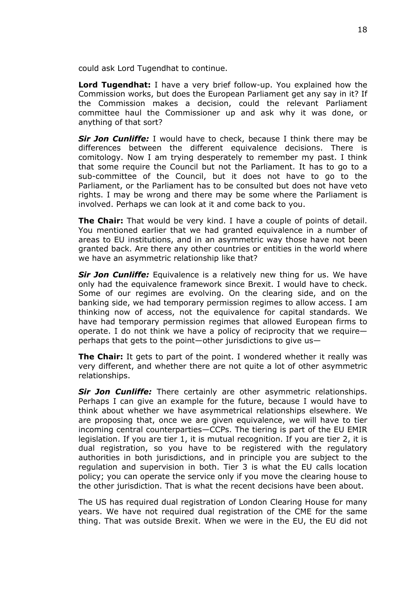could ask Lord Tugendhat to continue.

**Lord Tugendhat:** I have a very brief follow-up. You explained how the Commission works, but does the European Parliament get any say in it? If the Commission makes a decision, could the relevant Parliament committee haul the Commissioner up and ask why it was done, or anything of that sort?

*Sir Jon Cunliffe:* I would have to check, because I think there may be differences between the different equivalence decisions. There is comitology. Now I am trying desperately to remember my past. I think that some require the Council but not the Parliament. It has to go to a sub-committee of the Council, but it does not have to go to the Parliament, or the Parliament has to be consulted but does not have veto rights. I may be wrong and there may be some where the Parliament is involved. Perhaps we can look at it and come back to you.

**The Chair:** That would be very kind. I have a couple of points of detail. You mentioned earlier that we had granted equivalence in a number of areas to EU institutions, and in an asymmetric way those have not been granted back. Are there any other countries or entities in the world where we have an asymmetric relationship like that?

*Sir Jon Cunliffe:* Equivalence is a relatively new thing for us. We have only had the equivalence framework since Brexit. I would have to check. Some of our regimes are evolving. On the clearing side, and on the banking side, we had temporary permission regimes to allow access. I am thinking now of access, not the equivalence for capital standards. We have had temporary permission regimes that allowed European firms to operate. I do not think we have a policy of reciprocity that we require perhaps that gets to the point—other jurisdictions to give us—

**The Chair:** It gets to part of the point. I wondered whether it really was very different, and whether there are not quite a lot of other asymmetric relationships.

*Sir Jon Cunliffe:* There certainly are other asymmetric relationships. Perhaps I can give an example for the future, because I would have to think about whether we have asymmetrical relationships elsewhere. We are proposing that, once we are given equivalence, we will have to tier incoming central counterparties—CCPs. The tiering is part of the EU EMIR legislation. If you are tier 1, it is mutual recognition. If you are tier 2, it is dual registration, so you have to be registered with the regulatory authorities in both jurisdictions, and in principle you are subject to the regulation and supervision in both. Tier 3 is what the EU calls location policy; you can operate the service only if you move the clearing house to the other jurisdiction. That is what the recent decisions have been about.

The US has required dual registration of London Clearing House for many years. We have not required dual registration of the CME for the same thing. That was outside Brexit. When we were in the EU, the EU did not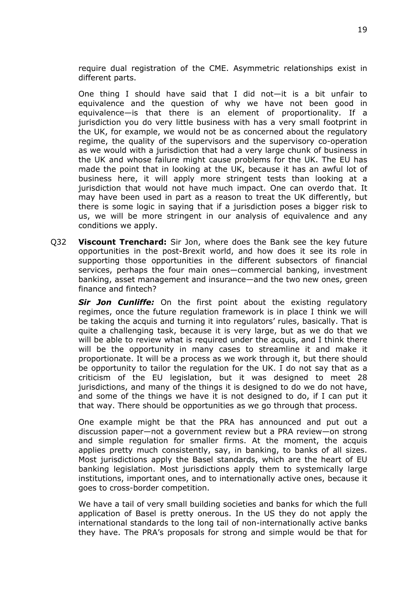require dual registration of the CME. Asymmetric relationships exist in different parts.

One thing I should have said that I did not—it is a bit unfair to equivalence and the question of why we have not been good in equivalence—is that there is an element of proportionality. If a jurisdiction you do very little business with has a very small footprint in the UK, for example, we would not be as concerned about the regulatory regime, the quality of the supervisors and the supervisory co-operation as we would with a jurisdiction that had a very large chunk of business in the UK and whose failure might cause problems for the UK. The EU has made the point that in looking at the UK, because it has an awful lot of business here, it will apply more stringent tests than looking at a jurisdiction that would not have much impact. One can overdo that. It may have been used in part as a reason to treat the UK differently, but there is some logic in saying that if a jurisdiction poses a bigger risk to us, we will be more stringent in our analysis of equivalence and any conditions we apply.

Q32 **Viscount Trenchard:** Sir Jon, where does the Bank see the key future opportunities in the post-Brexit world, and how does it see its role in supporting those opportunities in the different subsectors of financial services, perhaps the four main ones—commercial banking, investment banking, asset management and insurance—and the two new ones, green finance and fintech?

*Sir Jon Cunliffe:* On the first point about the existing regulatory regimes, once the future regulation framework is in place I think we will be taking the acquis and turning it into regulators' rules, basically. That is quite a challenging task, because it is very large, but as we do that we will be able to review what is required under the acquis, and I think there will be the opportunity in many cases to streamline it and make it proportionate. It will be a process as we work through it, but there should be opportunity to tailor the regulation for the UK. I do not say that as a criticism of the EU legislation, but it was designed to meet 28 jurisdictions, and many of the things it is designed to do we do not have, and some of the things we have it is not designed to do, if I can put it that way. There should be opportunities as we go through that process.

One example might be that the PRA has announced and put out a discussion paper—not a government review but a PRA review—on strong and simple regulation for smaller firms. At the moment, the acquis applies pretty much consistently, say, in banking, to banks of all sizes. Most jurisdictions apply the Basel standards, which are the heart of EU banking legislation. Most jurisdictions apply them to systemically large institutions, important ones, and to internationally active ones, because it goes to cross-border competition.

We have a tail of very small building societies and banks for which the full application of Basel is pretty onerous. In the US they do not apply the international standards to the long tail of non-internationally active banks they have. The PRA's proposals for strong and simple would be that for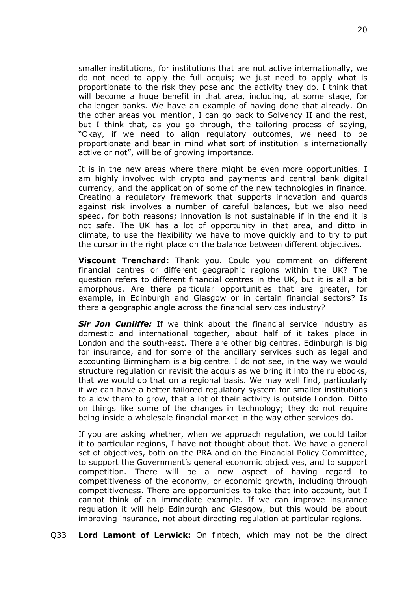smaller institutions, for institutions that are not active internationally, we do not need to apply the full acquis; we just need to apply what is proportionate to the risk they pose and the activity they do. I think that will become a huge benefit in that area, including, at some stage, for challenger banks. We have an example of having done that already. On the other areas you mention, I can go back to Solvency II and the rest, but I think that, as you go through, the tailoring process of saying, "Okay, if we need to align regulatory outcomes, we need to be proportionate and bear in mind what sort of institution is internationally active or not", will be of growing importance.

It is in the new areas where there might be even more opportunities. I am highly involved with crypto and payments and central bank digital currency, and the application of some of the new technologies in finance. Creating a regulatory framework that supports innovation and guards against risk involves a number of careful balances, but we also need speed, for both reasons; innovation is not sustainable if in the end it is not safe. The UK has a lot of opportunity in that area, and ditto in climate, to use the flexibility we have to move quickly and to try to put the cursor in the right place on the balance between different objectives.

**Viscount Trenchard:** Thank you. Could you comment on different financial centres or different geographic regions within the UK? The question refers to different financial centres in the UK, but it is all a bit amorphous. Are there particular opportunities that are greater, for example, in Edinburgh and Glasgow or in certain financial sectors? Is there a geographic angle across the financial services industry?

*Sir Jon Cunliffe:* If we think about the financial service industry as domestic and international together, about half of it takes place in London and the south-east. There are other big centres. Edinburgh is big for insurance, and for some of the ancillary services such as legal and accounting Birmingham is a big centre. I do not see, in the way we would structure regulation or revisit the acquis as we bring it into the rulebooks, that we would do that on a regional basis. We may well find, particularly if we can have a better tailored regulatory system for smaller institutions to allow them to grow, that a lot of their activity is outside London. Ditto on things like some of the changes in technology; they do not require being inside a wholesale financial market in the way other services do.

If you are asking whether, when we approach regulation, we could tailor it to particular regions, I have not thought about that. We have a general set of objectives, both on the PRA and on the Financial Policy Committee, to support the Government's general economic objectives, and to support competition. There will be a new aspect of having regard to competitiveness of the economy, or economic growth, including through competitiveness. There are opportunities to take that into account, but I cannot think of an immediate example. If we can improve insurance regulation it will help Edinburgh and Glasgow, but this would be about improving insurance, not about directing regulation at particular regions.

Q33 **Lord Lamont of Lerwick:** On fintech, which may not be the direct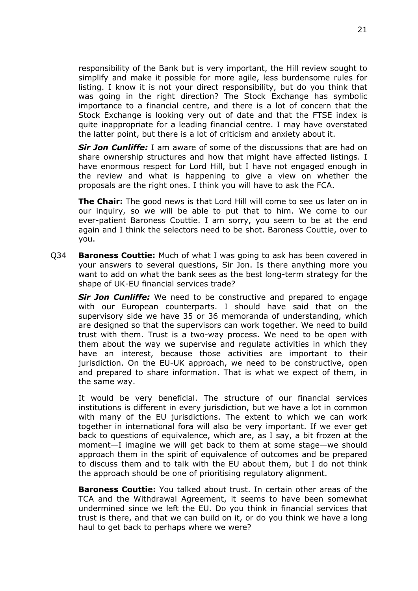responsibility of the Bank but is very important, the Hill review sought to simplify and make it possible for more agile, less burdensome rules for listing. I know it is not your direct responsibility, but do you think that was going in the right direction? The Stock Exchange has symbolic importance to a financial centre, and there is a lot of concern that the Stock Exchange is looking very out of date and that the FTSE index is quite inappropriate for a leading financial centre. I may have overstated the latter point, but there is a lot of criticism and anxiety about it.

*Sir Jon Cunliffe:* I am aware of some of the discussions that are had on share ownership structures and how that might have affected listings. I have enormous respect for Lord Hill, but I have not engaged enough in the review and what is happening to give a view on whether the proposals are the right ones. I think you will have to ask the FCA.

**The Chair:** The good news is that Lord Hill will come to see us later on in our inquiry, so we will be able to put that to him. We come to our ever-patient Baroness Couttie. I am sorry, you seem to be at the end again and I think the selectors need to be shot. Baroness Couttie, over to you.

Q34 **Baroness Couttie:** Much of what I was going to ask has been covered in your answers to several questions, Sir Jon. Is there anything more you want to add on what the bank sees as the best long-term strategy for the shape of UK-EU financial services trade?

*Sir Jon Cunliffe:* We need to be constructive and prepared to engage with our European counterparts. I should have said that on the supervisory side we have 35 or 36 memoranda of understanding, which are designed so that the supervisors can work together. We need to build trust with them. Trust is a two-way process. We need to be open with them about the way we supervise and regulate activities in which they have an interest, because those activities are important to their jurisdiction. On the EU-UK approach, we need to be constructive, open and prepared to share information. That is what we expect of them, in the same way.

It would be very beneficial. The structure of our financial services institutions is different in every jurisdiction, but we have a lot in common with many of the EU jurisdictions. The extent to which we can work together in international fora will also be very important. If we ever get back to questions of equivalence, which are, as I say, a bit frozen at the moment—I imagine we will get back to them at some stage—we should approach them in the spirit of equivalence of outcomes and be prepared to discuss them and to talk with the EU about them, but I do not think the approach should be one of prioritising regulatory alignment.

**Baroness Couttie:** You talked about trust. In certain other areas of the TCA and the Withdrawal Agreement, it seems to have been somewhat undermined since we left the EU. Do you think in financial services that trust is there, and that we can build on it, or do you think we have a long haul to get back to perhaps where we were?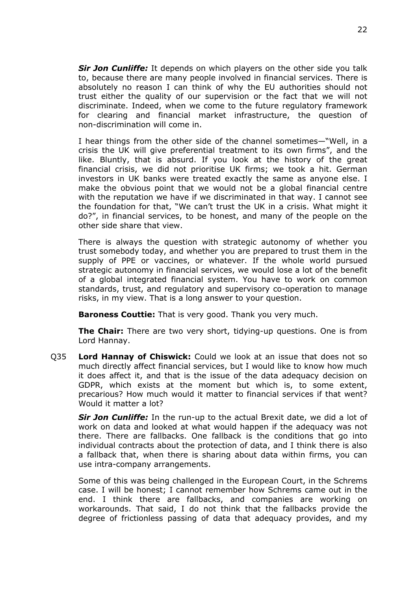*Sir Jon Cunliffe:* It depends on which players on the other side you talk to, because there are many people involved in financial services. There is absolutely no reason I can think of why the EU authorities should not trust either the quality of our supervision or the fact that we will not discriminate. Indeed, when we come to the future regulatory framework for clearing and financial market infrastructure, the question of non-discrimination will come in.

I hear things from the other side of the channel sometimes—"Well, in a crisis the UK will give preferential treatment to its own firms", and the like. Bluntly, that is absurd. If you look at the history of the great financial crisis, we did not prioritise UK firms; we took a hit. German investors in UK banks were treated exactly the same as anyone else. I make the obvious point that we would not be a global financial centre with the reputation we have if we discriminated in that way. I cannot see the foundation for that, "We can't trust the UK in a crisis. What might it do?", in financial services, to be honest, and many of the people on the other side share that view.

There is always the question with strategic autonomy of whether you trust somebody today, and whether you are prepared to trust them in the supply of PPE or vaccines, or whatever. If the whole world pursued strategic autonomy in financial services, we would lose a lot of the benefit of a global integrated financial system. You have to work on common standards, trust, and regulatory and supervisory co-operation to manage risks, in my view. That is a long answer to your question.

**Baroness Couttie:** That is very good. Thank you very much.

**The Chair:** There are two very short, tidying-up questions. One is from Lord Hannay.

Q35 **Lord Hannay of Chiswick:** Could we look at an issue that does not so much directly affect financial services, but I would like to know how much it does affect it, and that is the issue of the data adequacy decision on GDPR, which exists at the moment but which is, to some extent, precarious? How much would it matter to financial services if that went? Would it matter a lot?

*Sir Jon Cunliffe:* In the run-up to the actual Brexit date, we did a lot of work on data and looked at what would happen if the adequacy was not there. There are fallbacks. One fallback is the conditions that go into individual contracts about the protection of data, and I think there is also a fallback that, when there is sharing about data within firms, you can use intra-company arrangements.

Some of this was being challenged in the European Court, in the Schrems case. I will be honest; I cannot remember how Schrems came out in the end. I think there are fallbacks, and companies are working on workarounds. That said, I do not think that the fallbacks provide the degree of frictionless passing of data that adequacy provides, and my